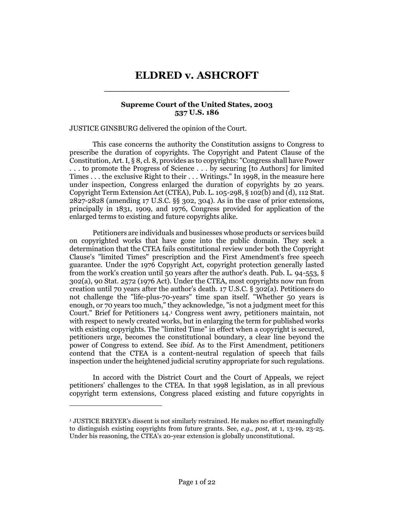# **ELDRED v. ASHCROFT** \_\_\_\_\_\_\_\_\_\_\_\_\_\_\_\_\_\_\_\_\_\_\_\_\_\_\_\_

## **Supreme Court of the United States, 2003 537 U.S. 186**

### JUSTICE GINSBURG delivered the opinion of the Court.

This case concerns the authority the Constitution assigns to Congress to prescribe the duration of copyrights. The Copyright and Patent Clause of the Constitution, Art. I, § 8, cl. 8, provides as to copyrights: "Congress shall have Power . . . to promote the Progress of Science . . . by securing [to Authors] for limited Times . . . the exclusive Right to their . . . Writings." In 1998, in the measure here under inspection, Congress enlarged the duration of copyrights by 20 years. Copyright Term Extension Act (CTEA), Pub. L.  $105-298$ ,  $\S 102(b)$  and (d),  $112$  Stat. 2827-2828 (amending 17 U.S.C. §§ 302, 304). As in the case of prior extensions, principally in 1831, 1909, and 1976, Congress provided for application of the enlarged terms to existing and future copyrights alike.

Petitioners are individuals and businesses whose products or services build on copyrighted works that have gone into the public domain. They seek a determination that the CTEA fails constitutional review under both the Copyright Clause's "limited Times" prescription and the First Amendment's free speech guarantee. Under the 1976 Copyright Act, copyright protection generally lasted from the work's creation until 50 years after the author's death. Pub. L. 94-553, § 302(a), 90 Stat. 2572 (1976 Act). Under the CTEA, most copyrights now run from creation until 70 years after the author's death. 17 U.S.C. § 302(a). Petitioners do not challenge the "life-plus-70-years" time span itself. "Whether 50 years is enough, or 70 years too much," they acknowledge, "is not a judgment meet for this Court." Brief for Petitioners 14.<sup>1</sup> Congress went awry, petitioners maintain, not with respect to newly created works, but in enlarging the term for published works with existing copyrights. The "limited Time" in effect when a copyright is secured, petitioners urge, becomes the constitutional boundary, a clear line beyond the power of Congress to extend. See *ibid.* As to the First Amendment, petitioners contend that the CTEA is a content-neutral regulation of speech that fails inspection under the heightened judicial scrutiny appropriate for such regulations.

In accord with the District Court and the Court of Appeals, we reject petitioners' challenges to the CTEA. In that 1998 legislation, as in all previous copyright term extensions, Congress placed existing and future copyrights in

<sup>1</sup> JUSTICE BREYER's dissent is not similarly restrained. He makes no effort meaningfully to distinguish existing copyrights from future grants. See, *e.g.*, *post*, at 1, 13-19, 23-25. Under his reasoning, the CTEA's 20-year extension is globally unconstitutional.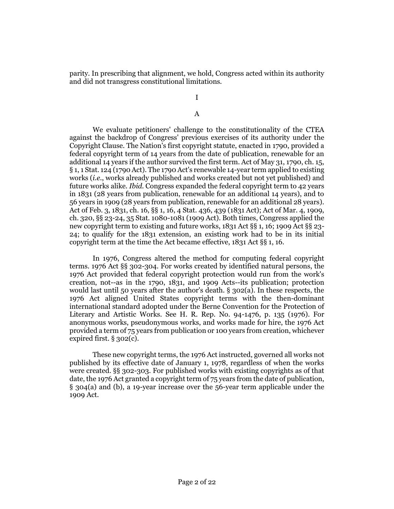parity. In prescribing that alignment, we hold, Congress acted within its authority and did not transgress constitutional limitations.

## I

## A

We evaluate petitioners' challenge to the constitutionality of the CTEA against the backdrop of Congress' previous exercises of its authority under the Copyright Clause. The Nation's first copyright statute, enacted in 1790, provided a federal copyright term of 14 years from the date of publication, renewable for an additional 14 years if the author survived the first term. Act of May 31, 1790, ch. 15, § 1, 1 Stat. 124 (1790 Act). The 1790 Act's renewable 14-year term applied to existing works (*i.e.*, works already published and works created but not yet published) and future works alike. *Ibid.* Congress expanded the federal copyright term to 42 years in 1831 (28 years from publication, renewable for an additional 14 years), and to 56 years in 1909 (28 years from publication, renewable for an additional 28 years). Act of Feb. 3, 1831, ch. 16, §§ 1, 16, 4 Stat. 436, 439 (1831 Act); Act of Mar. 4, 1909, ch. 320, §§ 23-24, 35 Stat. 1080-1081 (1909 Act). Both times, Congress applied the new copyright term to existing and future works, 1831 Act §§ 1, 16; 1909 Act §§ 23- 24; to qualify for the 1831 extension, an existing work had to be in its initial copyright term at the time the Act became effective, 1831 Act §§ 1, 16.

In 1976, Congress altered the method for computing federal copyright terms. 1976 Act §§ 302-304. For works created by identified natural persons, the 1976 Act provided that federal copyright protection would run from the work's creation, not--as in the 1790, 1831, and 1909 Acts--its publication; protection would last until 50 years after the author's death. § 302(a). In these respects, the 1976 Act aligned United States copyright terms with the then-dominant international standard adopted under the Berne Convention for the Protection of Literary and Artistic Works. See H. R. Rep. No. 94-1476, p. 135 (1976). For anonymous works, pseudonymous works, and works made for hire, the 1976 Act provided a term of 75 years from publication or 100 years from creation, whichever expired first.  $\S 302(c)$ .

These new copyright terms, the 1976 Act instructed, governed all works not published by its effective date of January 1, 1978, regardless of when the works were created. §§ 302-303. For published works with existing copyrights as of that date, the 1976 Act granted a copyright term of 75 years from the date of publication, § 304(a) and (b), a 19-year increase over the 56-year term applicable under the 1909 Act.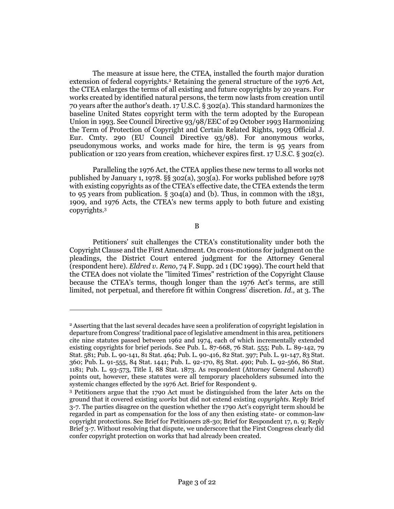The measure at issue here, the CTEA, installed the fourth major duration extension of federal copyrights.<sup>2</sup> Retaining the general structure of the 1976 Act, the CTEA enlarges the terms of all existing and future copyrights by 20 years. For works created by identified natural persons, the term now lasts from creation until 70 years after the author's death. 17 U.S.C. § 302(a). This standard harmonizes the baseline United States copyright term with the term adopted by the European Union in 1993. See Council Directive 93/98/EEC of 29 October 1993 Harmonizing the Term of Protection of Copyright and Certain Related Rights, 1993 Official J. Eur. Cmty. 290 (EU Council Directive 93/98). For anonymous works, pseudonymous works, and works made for hire, the term is 95 years from publication or 120 years from creation, whichever expires first. 17 U.S.C. § 302(c).

Paralleling the 1976 Act, the CTEA applies these new terms to all works not published by January 1, 1978.  $\S$ § 302(a), 303(a). For works published before 1978 with existing copyrights as of the CTEA's effective date, the CTEA extends the term to 95 years from publication. § 304(a) and (b). Thus, in common with the 1831, 1909, and 1976 Acts, the CTEA's new terms apply to both future and existing copyrights.<sup>3</sup>

B

Petitioners' suit challenges the CTEA's constitutionality under both the Copyright Clause and the First Amendment. On cross-motions for judgment on the pleadings, the District Court entered judgment for the Attorney General (respondent here). *Eldred v. Reno*, 74 F. Supp. 2d 1 (DC 1999). The court held that the CTEA does not violate the "limited Times" restriction of the Copyright Clause because the CTEA's terms, though longer than the 1976 Act's terms, are still limited, not perpetual, and therefore fit within Congress' discretion. *Id.,* at 3. The

<sup>2</sup> Asserting that the last several decades have seen a proliferation of copyright legislation in departure from Congress' traditional pace of legislative amendment in this area, petitioners cite nine statutes passed between 1962 and 1974, each of which incrementally extended existing copyrights for brief periods. See Pub. L. 87-668, 76 Stat. 555; Pub. L. 89-142, 79 Stat. 581; Pub. L. 90-141, 81 Stat. 464; Pub. L. 90-416, 82 Stat. 397; Pub. L. 91-147, 83 Stat. 360; Pub. L. 91-555, 84 Stat. 1441; Pub. L. 92-170, 85 Stat. 490; Pub. L. 92-566, 86 Stat. 1181; Pub. L. 93-573, Title I, 88 Stat. 1873. As respondent (Attorney General Ashcroft) points out, however, these statutes were all temporary placeholders subsumed into the systemic changes effected by the 1976 Act. Brief for Respondent 9.

<sup>3</sup> Petitioners argue that the 1790 Act must be distinguished from the later Acts on the ground that it covered existing *works* but did not extend existing *copyrights*. Reply Brief 3-7. The parties disagree on the question whether the 1790 Act's copyright term should be regarded in part as compensation for the loss of any then existing state- or common-law copyright protections. See Brief for Petitioners 28-30; Brief for Respondent 17, n. 9; Reply Brief 3-7. Without resolving that dispute, we underscore that the First Congress clearly did confer copyright protection on works that had already been created.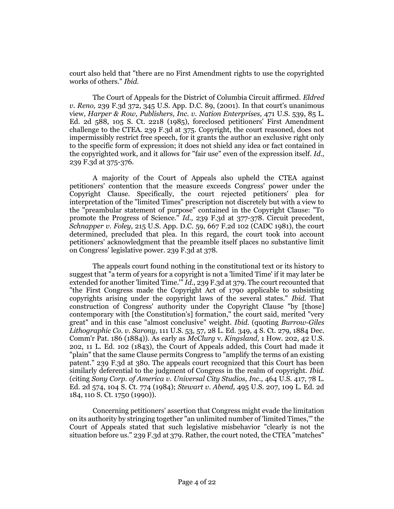court also held that "there are no First Amendment rights to use the copyrighted works of others." *Ibid.*

The Court of Appeals for the District of Columbia Circuit affirmed. *Eldred v. Reno,* 239 F.3d 372, 345 U.S. App. D.C. 89, (2001). In that court's unanimous view, *Harper & Row, Publishers, Inc. v. Nation Enterprises,* 471 U.S. 539, 85 L. Ed. 2d 588, 105 S. Ct. 2218 (1985), foreclosed petitioners' First Amendment challenge to the CTEA. 239 F.3d at 375. Copyright, the court reasoned, does not impermissibly restrict free speech, for it grants the author an exclusive right only to the specific form of expression; it does not shield any idea or fact contained in the copyrighted work, and it allows for "fair use" even of the expression itself. *Id.,* 239 F.3d at 375-376.

A majority of the Court of Appeals also upheld the CTEA against petitioners' contention that the measure exceeds Congress' power under the Copyright Clause. Specifically, the court rejected petitioners' plea for interpretation of the "limited Times" prescription not discretely but with a view to the "preambular statement of purpose" contained in the Copyright Clause: "To promote the Progress of Science." *Id.,* 239 F.3d at 377-378. Circuit precedent, *Schnapper v. Foley*, 215 U.S. App. D.C. 59, 667 F.2d 102 (CADC 1981), the court determined, precluded that plea. In this regard, the court took into account petitioners' acknowledgment that the preamble itself places no substantive limit on Congress' legislative power. 239 F.3d at 378.

The appeals court found nothing in the constitutional text or its history to suggest that "a term of years for a copyright is not a 'limited Time' if it may later be extended for another 'limited Time.'" *Id.,* 239 F.3d at 379. The court recounted that "the First Congress made the Copyright Act of 1790 applicable to subsisting copyrights arising under the copyright laws of the several states." *Ibid.* That construction of Congress' authority under the Copyright Clause "by [those] contemporary with [the Constitution's] formation," the court said, merited "very great" and in this case "almost conclusive" weight. *Ibid.* (quoting *Burrow-Giles Lithographic Co. v. Sarony,* 111 U.S. 53, 57, 28 L. Ed. 349, 4 S. Ct. 279, 1884 Dec. Comm'r Pat. 186 (1884)). As early as *McClurg* v. *Kingsland,* 1 How. 202, 42 U.S. 202, 11 L. Ed. 102 (1843), the Court of Appeals added, this Court had made it "plain" that the same Clause permits Congress to "amplify the terms of an existing patent." 239 F.3d at 380. The appeals court recognized that this Court has been similarly deferential to the judgment of Congress in the realm of copyright. *Ibid.* (citing *Sony Corp. of America v. Universal City Studios, Inc.,* 464 U.S. 417, 78 L. Ed. 2d 574, 104 S. Ct. 774 (1984); *Stewart v. Abend,* 495 U.S. 207, 109 L. Ed. 2d 184, 110 S. Ct. 1750 (1990)).

Concerning petitioners' assertion that Congress might evade the limitation on its authority by stringing together "an unlimited number of 'limited Times,'" the Court of Appeals stated that such legislative misbehavior "clearly is not the situation before us." 239 F.3d at 379. Rather, the court noted, the CTEA "matches"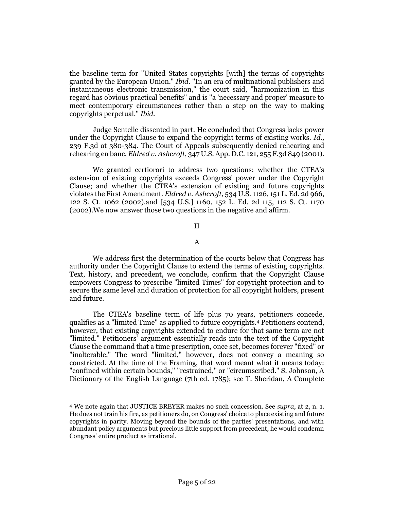the baseline term for "United States copyrights [with] the terms of copyrights granted by the European Union." *Ibid.* "In an era of multinational publishers and instantaneous electronic transmission," the court said, "harmonization in this regard has obvious practical benefits" and is "a 'necessary and proper' measure to meet contemporary circumstances rather than a step on the way to making copyrights perpetual." *Ibid.*

Judge Sentelle dissented in part. He concluded that Congress lacks power under the Copyright Clause to expand the copyright terms of existing works. *Id.,* 239 F.3d at 380-384. The Court of Appeals subsequently denied rehearing and rehearing en banc. *Eldred v. Ashcroft*, 347 U.S. App. D.C. 121, 255 F.3d 849 (2001).

We granted certiorari to address two questions: whether the CTEA's extension of existing copyrights exceeds Congress' power under the Copyright Clause; and whether the CTEA's extension of existing and future copyrights violates the First Amendment. *Eldred v. Ashcroft*, 534 U.S. 1126, 151 L. Ed. 2d 966, 122 S. Ct. 1062 (2002).and [534 U.S.] 1160, 152 L. Ed. 2d 115, 112 S. Ct. 1170 (2002).We now answer those two questions in the negative and affirm.

II

## A

We address first the determination of the courts below that Congress has authority under the Copyright Clause to extend the terms of existing copyrights. Text, history, and precedent, we conclude, confirm that the Copyright Clause empowers Congress to prescribe "limited Times" for copyright protection and to secure the same level and duration of protection for all copyright holders, present and future.

The CTEA's baseline term of life plus 70 years, petitioners concede, qualifies as a "limited Time" as applied to future copyrights.<sup>4</sup> Petitioners contend, however, that existing copyrights extended to endure for that same term are not "limited." Petitioners' argument essentially reads into the text of the Copyright Clause the command that a time prescription, once set, becomes forever "fixed" or "inalterable." The word "limited," however, does not convey a meaning so constricted. At the time of the Framing, that word meant what it means today: "confined within certain bounds," "restrained," or "circumscribed." S. Johnson, A Dictionary of the English Language (7th ed. 1785); see T. Sheridan, A Complete

<sup>4</sup> We note again that JUSTICE BREYER makes no such concession. See *supra*, at 2, n. 1. He does not train his fire, as petitioners do, on Congress' choice to place existing and future copyrights in parity. Moving beyond the bounds of the parties' presentations, and with abundant policy arguments but precious little support from precedent, he would condemn Congress' entire product as irrational.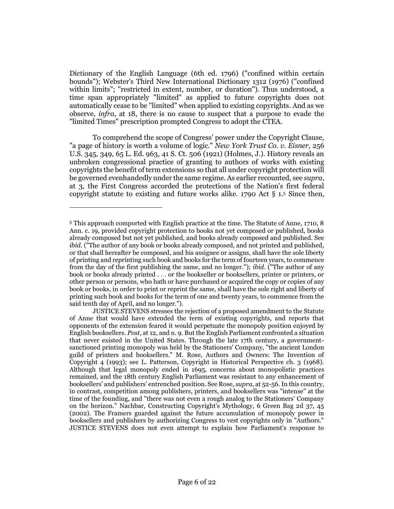Dictionary of the English Language (6th ed. 1796) ("confined within certain bounds"); Webster's Third New International Dictionary 1312 (1976) ("confined within limits"; "restricted in extent, number, or duration"). Thus understood, a time span appropriately "limited" as applied to future copyrights does not automatically cease to be "limited" when applied to existing copyrights. And as we observe, *infra*, at 18, there is no cause to suspect that a purpose to evade the "limited Times" prescription prompted Congress to adopt the CTEA.

To comprehend the scope of Congress' power under the Copyright Clause, "a page of history is worth a volume of logic." *New York Trust Co. v. Eisner,* 256 U.S. 345, 349, 65 L. Ed. 963, 41 S. Ct. 506 (1921) (Holmes, J.). History reveals an unbroken congressional practice of granting to authors of works with existing copyrights the benefit of term extensions so that all under copyright protection will be governed evenhandedly under the same regime. As earlier recounted, see *supra*, at 3, the First Congress accorded the protections of the Nation's first federal copyright statute to existing and future works alike. 1790 Act  $\S$  1.<sup>5</sup> Since then,

<sup>5</sup> This approach comported with English practice at the time. The Statute of Anne, 1710, 8 Ann. c. 19, provided copyright protection to books not yet composed or published, books already composed but not yet published, and books already composed and published. See *ibid.* ("The author of any book or books already composed, and not printed and published, or that shall hereafter be composed, and his assignee or assigns, shall have the sole liberty of printing and reprinting such book and books for the term of fourteen years, to commence from the day of the first publishing the same, and no longer."); *ibid.* ("The author of any book or books already printed . . . or the bookseller or booksellers, printer or printers, or other person or persons, who hath or have purchased or acquired the copy or copies of any book or books, in order to print or reprint the same, shall have the sole right and liberty of printing such book and books for the term of one and twenty years, to commence from the said tenth day of April, and no longer.").

JUSTICE STEVENS stresses the rejection of a proposed amendment to the Statute of Anne that would have extended the term of existing copyrights, and reports that opponents of the extension feared it would perpetuate the monopoly position enjoyed by English booksellers. *Post*, at 12, and n. 9. But the English Parliament confronted a situation that never existed in the United States. Through the late 17th century, a governmentsanctioned printing monopoly was held by the Stationers' Company, "the ancient London guild of printers and booksellers." M. Rose, Authors and Owners: The Invention of Copyright 4 (1993); see L. Patterson, Copyright in Historical Perspective ch. 3 (1968). Although that legal monopoly ended in 1695, concerns about monopolistic practices remained, and the 18th century English Parliament was resistant to any enhancement of booksellers' and publishers' entrenched position. See Rose, *supra*, at 52-56. In this country, in contrast, competition among publishers, printers, and booksellers was "intense" at the time of the founding, and "there was not even a rough analog to the Stationers' Company on the horizon." Nachbar, Constructing Copyright's Mythology, 6 Green Bag 2d 37, 45 (2002). The Framers guarded against the future accumulation of monopoly power in booksellers and publishers by authorizing Congress to vest copyrights only in "Authors." JUSTICE STEVENS does not even attempt to explain how Parliament's response to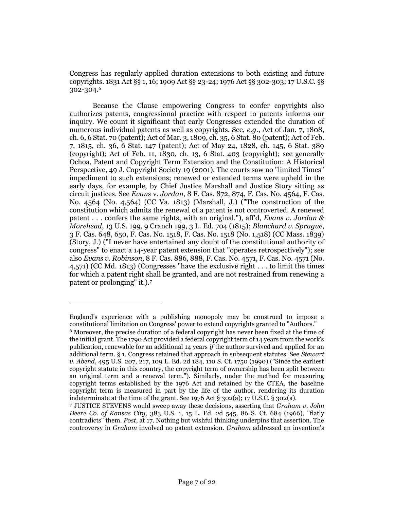Congress has regularly applied duration extensions to both existing and future copyrights. 1831 Act §§ 1, 16; 1909 Act §§ 23-24; 1976 Act §§ 302-303; 17 U.S.C. §§ 302-304.<sup>6</sup>

Because the Clause empowering Congress to confer copyrights also authorizes patents, congressional practice with respect to patents informs our inquiry. We count it significant that early Congresses extended the duration of numerous individual patents as well as copyrights. See, *e.g.*, Act of Jan. 7, 1808, ch. 6, 6 Stat. 70 (patent); Act of Mar. 3, 1809, ch. 35, 6 Stat. 80 (patent); Act of Feb. 7, 1815, ch. 36, 6 Stat. 147 (patent); Act of May 24, 1828, ch. 145, 6 Stat. 389 (copyright); Act of Feb. 11, 1830, ch. 13, 6 Stat. 403 (copyright); see generally Ochoa, Patent and Copyright Term Extension and the Constitution: A Historical Perspective, 49 J. Copyright Society 19 (2001). The courts saw no "limited Times" impediment to such extensions; renewed or extended terms were upheld in the early days, for example, by Chief Justice Marshall and Justice Story sitting as circuit justices. See *Evans* v. *Jordan*, 8 F. Cas. 872, 874, F. Cas. No. 4564, F. Cas. No. 4564 (No. 4,564) (CC Va. 1813) (Marshall, J.) ("The construction of the constitution which admits the renewal of a patent is not controverted. A renewed patent . . . confers the same rights, with an original."), aff'd, *Evans v. Jordan & Morehead*, 13 U.S. 199, 9 Cranch 199, 3 L. Ed. 704 (1815); *Blanchard v. Sprague*, 3 F. Cas. 648, 650, F. Cas. No. 1518, F. Cas. No. 1518 (No. 1,518) (CC Mass. 1839) (Story, J.) ("I never have entertained any doubt of the constitutional authority of congress" to enact a 14-year patent extension that "operates retrospectively"); see also *Evans v. Robinson*, 8 F. Cas. 886, 888, F. Cas. No. 4571, F. Cas. No. 4571 (No. 4,571) (CC Md. 1813) (Congresses "have the exclusive right . . . to limit the times for which a patent right shall be granted, and are not restrained from renewing a patent or prolonging" it.).<sup>7</sup>

l

England's experience with a publishing monopoly may be construed to impose a constitutional limitation on Congress' power to extend copyrights granted to "Authors."

<sup>6</sup> Moreover, the precise duration of a federal copyright has never been fixed at the time of the initial grant. The 1790 Act provided a federal copyright term of 14 years from the work's publication, renewable for an additional 14 years *if* the author survived and applied for an additional term. § 1. Congress retained that approach in subsequent statutes. See *Stewart v. Abend,* 495 U.S. 207, 217, 109 L. Ed. 2d 184, 110 S. Ct. 1750 (1990) ("Since the earliest copyright statute in this country, the copyright term of ownership has been split between an original term and a renewal term."). Similarly, under the method for measuring copyright terms established by the 1976 Act and retained by the CTEA, the baseline copyright term is measured in part by the life of the author, rendering its duration indeterminate at the time of the grant. See 1976 Act § 302(a); 17 U.S.C. § 302(a).

<sup>7</sup> JUSTICE STEVENS would sweep away these decisions, asserting that *Graham v. John Deere Co. of Kansas City,* 383 U.S. 1, 15 L. Ed. 2d 545, 86 S. Ct. 684 (1966), "flatly contradicts" them. *Post*, at 17. Nothing but wishful thinking underpins that assertion. The controversy in *Graham* involved no patent extension. *Graham* addressed an invention's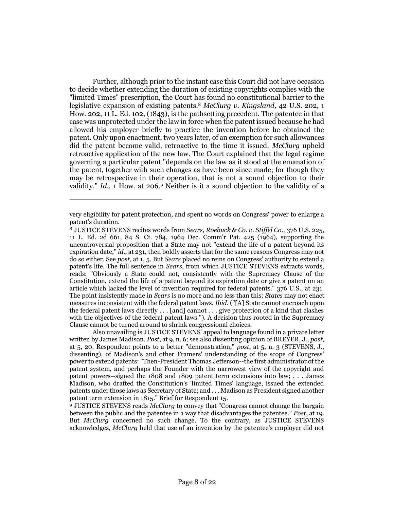Further, although prior to the instant case this Court did not have occasion to decide whether extending the duration of existing copyrights complies with the "limited Times" prescription, the Court has found no constitutional barrier to the legislative expansion of existing patents.<sup>8</sup> *McClurg v. Kingsland,* 42 U.S. 202, 1 How. 202, 11 L. Ed. 102, (1843), is the pathsetting precedent. The patentee in that case was unprotected under the law in force when the patent issued because he had allowed his employer briefly to practice the invention before he obtained the patent. Only upon enactment, two years later, of an exemption for such allowances did the patent become valid, retroactive to the time it issued. *McClurg* upheld retroactive application of the new law. The Court explained that the legal regime governing a particular patent "depends on the law as it stood at the emanation of the patent, together with such changes as have been since made; for though they may be retrospective in their operation, that is not a sound objection to their validity." *Id.,* 1 How. at 206.<sup>9</sup> Neither is it a sound objection to the validity of a

very eligibility for patent protection, and spent no words on Congress' power to enlarge a patent's duration.

<sup>8</sup> JUSTICE STEVENS recites words from *Sears, Roebuck & Co. v. Stiffel Co.,* 376 U.S. 225, 11 L. Ed. 2d 661, 84 S. Ct. 784, 1964 Dec. Comm'r Pat. 425 (1964), supporting the uncontroversial proposition that a State may not "extend the life of a patent beyond its expiration date," *id.*, at 231, then boldly asserts that for the same reasons Congress may not do so either. See *post*, at 1, 5. But *Sears* placed no reins on Congress' authority to extend a patent's life. The full sentence in *Sears*, from which JUSTICE STEVENS extracts words, reads: "Obviously a State could not, consistently with the Supremacy Clause of the Constitution, extend the life of a patent beyond its expiration date or give a patent on an article which lacked the level of invention required for federal patents." 376 U.S., at 231. The point insistently made in *Sears* is no more and no less than this: *States* may not enact measures inconsistent with the federal patent laws. *Ibid.* ("[A] State cannot encroach upon the federal patent laws directly . . . [and] cannot . . . give protection of a kind that clashes with the objectives of the federal patent laws."). A decision thus rooted in the Supremacy Clause cannot be turned around to shrink congressional choices.

Also unavailing is JUSTICE STEVENS' appeal to language found in a private letter written by James Madison. *Post*, at 9, n. 6; see also dissenting opinion of BREYER, J., *post*, at 5, 20. Respondent points to a better "demonstration," *post*, at 5, n. 3 (STEVENS, J., dissenting), of Madison's and other Framers' understanding of the scope of Congress' power to extend patents: "Then-President Thomas Jefferson--the first administrator of the patent system, and perhaps the Founder with the narrowest view of the copyright and patent powers--signed the 1808 and 1809 patent term extensions into law; . . . James Madison, who drafted the Constitution's 'limited Times' language, issued the extended patents under those laws as Secretary of State; and . . . Madison as President signed another patent term extension in 1815." Brief for Respondent 15.

<sup>9</sup> JUSTICE STEVENS reads *McClurg* to convey that "Congress cannot change the bargain between the public and the patentee in a way that disadvantages the patentee." *Post*, at 19. But *McClurg* concerned no such change. To the contrary, as JUSTICE STEVENS acknowledges, *McClurg* held that use of an invention by the patentee's employer did not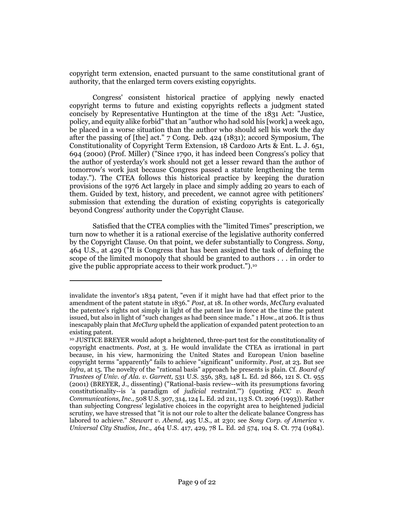copyright term extension, enacted pursuant to the same constitutional grant of authority, that the enlarged term covers existing copyrights.

Congress' consistent historical practice of applying newly enacted copyright terms to future and existing copyrights reflects a judgment stated concisely by Representative Huntington at the time of the 1831 Act: "Justice, policy, and equity alike forbid" that an "author who had sold his [work] a week ago, be placed in a worse situation than the author who should sell his work the day after the passing of [the] act." 7 Cong. Deb. 424 (1831); accord Symposium, The Constitutionality of Copyright Term Extension, 18 Cardozo Arts & Ent. L. J. 651, 694 (2000) (Prof. Miller) ("Since 1790, it has indeed been Congress's policy that the author of yesterday's work should not get a lesser reward than the author of tomorrow's work just because Congress passed a statute lengthening the term today."). The CTEA follows this historical practice by keeping the duration provisions of the 1976 Act largely in place and simply adding 20 years to each of them. Guided by text, history, and precedent, we cannot agree with petitioners' submission that extending the duration of existing copyrights is categorically beyond Congress' authority under the Copyright Clause.

Satisfied that the CTEA complies with the "limited Times" prescription, we turn now to whether it is a rational exercise of the legislative authority conferred by the Copyright Clause. On that point, we defer substantially to Congress. *Sony*, 464 U.S., at 429 ("It is Congress that has been assigned the task of defining the scope of the limited monopoly that should be granted to authors . . . in order to give the public appropriate access to their work product.").<sup>10</sup>

l

invalidate the inventor's 1834 patent, "even if it might have had that effect prior to the amendment of the patent statute in 1836." *Post*, at 18. In other words, *McClurg* evaluated the patentee's rights not simply in light of the patent law in force at the time the patent issued, but also in light of "such changes as had been since made." 1 How., at 206. It is thus inescapably plain that *McClurg* upheld the application of expanded patent protection to an existing patent.

<sup>10</sup> JUSTICE BREYER would adopt a heightened, three-part test for the constitutionality of copyright enactments. *Post*, at 3. He would invalidate the CTEA as irrational in part because, in his view, harmonizing the United States and European Union baseline copyright terms "apparently" fails to achieve "significant" uniformity. *Post*, at 23. But see *infra*, at 15. The novelty of the "rational basis" approach he presents is plain. Cf. *Board of Trustees of Univ. of Ala. v. Garrett,* 531 U.S. 356, 383, 148 L. Ed. 2d 866, 121 S. Ct. 955 (2001) (BREYER, J., dissenting) ("Rational-basis review--with its presumptions favoring constitutionality--is 'a paradigm of *judicial* restraint.'") (quoting *FCC v. Beach Communications, Inc.,* 508 U.S. 307, 314, 124 L. Ed. 2d 211, 113 S. Ct. 2096 (1993)). Rather than subjecting Congress' legislative choices in the copyright area to heightened judicial scrutiny, we have stressed that "it is not our role to alter the delicate balance Congress has labored to achieve." *Stewart v. Abend,* 495 U.S., at 230; see *Sony Corp. of America* v. *Universal City Studios, Inc.,* 464 U.S. 417, 429, 78 L. Ed. 2d 574, 104 S. Ct. 774 (1984).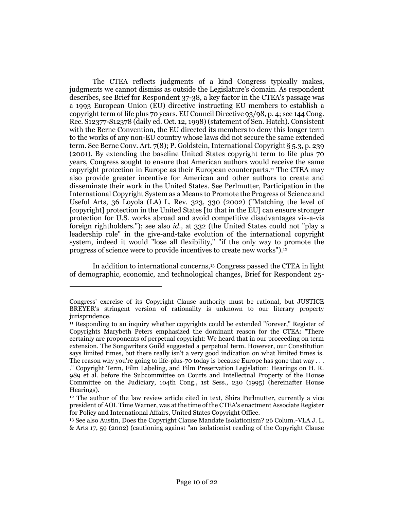The CTEA reflects judgments of a kind Congress typically makes, judgments we cannot dismiss as outside the Legislature's domain. As respondent describes, see Brief for Respondent 37-38, a key factor in the CTEA's passage was a 1993 European Union (EU) directive instructing EU members to establish a copyright term of life plus 70 years. EU Council Directive 93/98, p. 4; see 144 Cong. Rec. S12377-S12378 (daily ed. Oct. 12, 1998) (statement of Sen. Hatch). Consistent with the Berne Convention, the EU directed its members to deny this longer term to the works of any non-EU country whose laws did not secure the same extended term. See Berne Conv. Art. 7(8); P. Goldstein, International Copyright § 5.3, p. 239 (2001). By extending the baseline United States copyright term to life plus 70 years, Congress sought to ensure that American authors would receive the same copyright protection in Europe as their European counterparts.<sup>11</sup> The CTEA may also provide greater incentive for American and other authors to create and disseminate their work in the United States. See Perlmutter, Participation in the International Copyright System as a Means to Promote the Progress of Science and Useful Arts, 36 Loyola (LA) L. Rev. 323, 330 (2002) ("Matching the level of [copyright] protection in the United States [to that in the EU] can ensure stronger protection for U.S. works abroad and avoid competitive disadvantages vis-a-vis foreign rightholders."); see also *id.,* at 332 (the United States could not "play a leadership role" in the give-and-take evolution of the international copyright system, indeed it would "lose all flexibility," "if the only way to promote the progress of science were to provide incentives to create new works").<sup>12</sup>

In addition to international concerns,<sup>13</sup> Congress passed the CTEA in light of demographic, economic, and technological changes, Brief for Respondent 25-

Congress' exercise of its Copyright Clause authority must be rational, but JUSTICE BREYER's stringent version of rationality is unknown to our literary property jurisprudence.

<sup>11</sup> Responding to an inquiry whether copyrights could be extended "forever," Register of Copyrights Marybeth Peters emphasized the dominant reason for the CTEA: "There certainly are proponents of perpetual copyright: We heard that in our proceeding on term extension. The Songwriters Guild suggested a perpetual term. However, our Constitution says limited times, but there really isn't a very good indication on what limited times is. The reason why you're going to life-plus-70 today is because Europe has gone that way . . . ." Copyright Term, Film Labeling, and Film Preservation Legislation: Hearings on H. R. 989 et al. before the Subcommittee on Courts and Intellectual Property of the House Committee on the Judiciary, 104th Cong., 1st Sess., 230 (1995) (hereinafter House Hearings).

<sup>12</sup> The author of the law review article cited in text, Shira Perlmutter, currently a vice president of AOL Time Warner, was at the time of the CTEA's enactment Associate Register for Policy and International Affairs, United States Copyright Office.

<sup>&</sup>lt;sup>13</sup> See also Austin, Does the Copyright Clause Mandate Isolationism? 26 Colum.-VLA J. L. & Arts 17, 59 (2002) (cautioning against "an isolationist reading of the Copyright Clause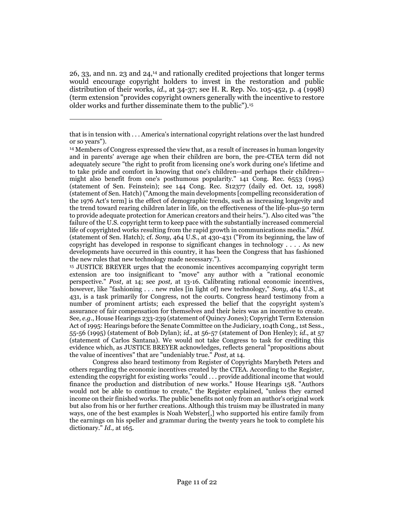26, 33, and nn. 23 and 24,<sup>14</sup> and rationally credited projections that longer terms would encourage copyright holders to invest in the restoration and public distribution of their works, *id.,* at 34-37; see H. R. Rep. No. 105-452, p. 4 (1998) (term extension "provides copyright owners generally with the incentive to restore older works and further disseminate them to the public").<sup>15</sup>

 $\overline{a}$ 

Congress also heard testimony from Register of Copyrights Marybeth Peters and others regarding the economic incentives created by the CTEA. According to the Register, extending the copyright for existing works "could . . . provide additional income that would finance the production and distribution of new works." House Hearings 158. "Authors would not be able to continue to create," the Register explained, "unless they earned income on their finished works. The public benefits not only from an author's original work but also from his or her further creations. Although this truism may be illustrated in many ways, one of the best examples is Noah Webster[,] who supported his entire family from the earnings on his speller and grammar during the twenty years he took to complete his dictionary." *Id.,* at 165.

that is in tension with . . . America's international copyright relations over the last hundred or so years").

<sup>14</sup> Members of Congress expressed the view that, as a result of increases in human longevity and in parents' average age when their children are born, the pre-CTEA term did not adequately secure "the right to profit from licensing one's work during one's lifetime and to take pride and comfort in knowing that one's children--and perhaps their children- might also benefit from one's posthumous popularity." 141 Cong. Rec. 6553 (1995) (statement of Sen. Feinstein); see 144 Cong. Rec. S12377 (daily ed. Oct. 12, 1998) (statement of Sen. Hatch) ("Among the main developments [compelling reconsideration of the 1976 Act's term] is the effect of demographic trends, such as increasing longevity and the trend toward rearing children later in life, on the effectiveness of the life-plus-50 term to provide adequate protection for American creators and their heirs."). Also cited was "the failure of the U.S. copyright term to keep pace with the substantially increased commercial life of copyrighted works resulting from the rapid growth in communications media." *Ibid.* (statement of Sen. Hatch); cf. *Sony*, 464 U.S., at 430-431 ("From its beginning, the law of copyright has developed in response to significant changes in technology  $\dots$ . As new developments have occurred in this country, it has been the Congress that has fashioned the new rules that new technology made necessary.").

<sup>15</sup> JUSTICE BREYER urges that the economic incentives accompanying copyright term extension are too insignificant to "move" any author with a "rational economic perspective." *Post*, at 14; see *post,* at 13-16. Calibrating rational economic incentives, however, like "fashioning . . . new rules [in light of] new technology," *Sony*, 464 U.S., at 431, is a task primarily for Congress, not the courts. Congress heard testimony from a number of prominent artists; each expressed the belief that the copyright system's assurance of fair compensation for themselves and their heirs was an incentive to create. See, *e.g.*, House Hearings 233-239 (statement of Quincy Jones); Copyright Term Extension Act of 1995: Hearings before the Senate Committee on the Judiciary, 104th Cong., 1st Sess., 55-56 (1995) (statement of Bob Dylan); *id.*, at 56-57 (statement of Don Henley); *id.*, at 57 (statement of Carlos Santana). We would not take Congress to task for crediting this evidence which, as JUSTICE BREYER acknowledges, reflects general "propositions about the value of incentives" that are "undeniably true." *Post*, at 14.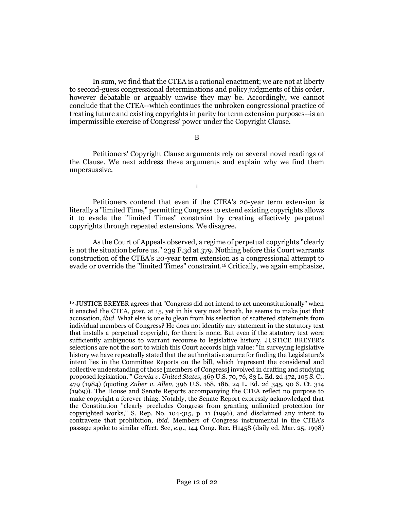In sum, we find that the CTEA is a rational enactment; we are not at liberty to second-guess congressional determinations and policy judgments of this order, however debatable or arguably unwise they may be. Accordingly, we cannot conclude that the CTEA--which continues the unbroken congressional practice of treating future and existing copyrights in parity for term extension purposes--is an impermissible exercise of Congress' power under the Copyright Clause.

B

Petitioners' Copyright Clause arguments rely on several novel readings of the Clause. We next address these arguments and explain why we find them unpersuasive.

1

Petitioners contend that even if the CTEA's 20-year term extension is literally a "limited Time," permitting Congress to extend existing copyrights allows it to evade the "limited Times" constraint by creating effectively perpetual copyrights through repeated extensions. We disagree.

As the Court of Appeals observed, a regime of perpetual copyrights "clearly is not the situation before us." 239 F.3d at 379. Nothing before this Court warrants construction of the CTEA's 20-year term extension as a congressional attempt to evade or override the "limited Times" constraint.<sup>16</sup> Critically, we again emphasize,

<sup>16</sup> JUSTICE BREYER agrees that "Congress did not intend to act unconstitutionally" when it enacted the CTEA, *post*, at 15, yet in his very next breath, he seems to make just that accusation, *ibid.* What else is one to glean from his selection of scattered statements from individual members of Congress? He does not identify any statement in the statutory text that installs a perpetual copyright, for there is none. But even if the statutory text were sufficiently ambiguous to warrant recourse to legislative history, JUSTICE BREYER's selections are not the sort to which this Court accords high value: "In surveying legislative history we have repeatedly stated that the authoritative source for finding the Legislature's intent lies in the Committee Reports on the bill, which 'represent the considered and collective understanding of those [members of Congress] involved in drafting and studying proposed legislation.'" *Garcia v. United States,* 469 U.S. 70, 76, 83 L. Ed. 2d 472, 105 S. Ct. 479 (1984) (quoting *Zuber v. Allen,* 396 U.S. 168, 186, 24 L. Ed. 2d 345, 90 S. Ct. 314 (1969)). The House and Senate Reports accompanying the CTEA reflect no purpose to make copyright a forever thing. Notably, the Senate Report expressly acknowledged that the Constitution "clearly precludes Congress from granting unlimited protection for copyrighted works," S. Rep. No. 104-315, p. 11 (1996), and disclaimed any intent to contravene that prohibition, *ibid.* Members of Congress instrumental in the CTEA's passage spoke to similar effect. See, *e.g.*, 144 Cong. Rec. H1458 (daily ed. Mar. 25, 1998)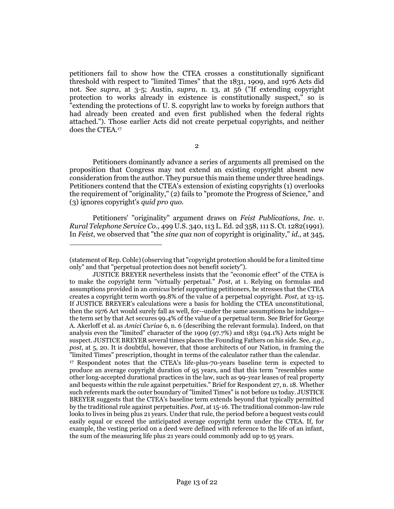petitioners fail to show how the CTEA crosses a constitutionally significant threshold with respect to "limited Times" that the 1831, 1909, and 1976 Acts did not. See *supra*, at 3-5; Austin, *supra*, n. 13, at 56 ("If extending copyright protection to works already in existence is constitutionally suspect," so is "extending the protections of U. S. copyright law to works by foreign authors that had already been created and even first published when the federal rights attached."). Those earlier Acts did not create perpetual copyrights, and neither does the CTEA.<sup>17</sup>

2

Petitioners dominantly advance a series of arguments all premised on the proposition that Congress may not extend an existing copyright absent new consideration from the author. They pursue this main theme under three headings. Petitioners contend that the CTEA's extension of existing copyrights (1) overlooks the requirement of "originality," (2) fails to "promote the Progress of Science," and (3) ignores copyright's *quid pro quo*.

Petitioners' "originality" argument draws on *Feist Publications, Inc. v. Rural Telephone Service Co.,* 499 U.S. 340, 113 L. Ed. 2d 358, 111 S. Ct. 1282(1991). In *Feist*, we observed that "the *sine qua non* of copyright is originality," *id.,* at 345,

 $\overline{a}$ 

<sup>17</sup> Respondent notes that the CTEA's life-plus-70-years baseline term is expected to produce an average copyright duration of 95 years, and that this term "resembles some other long-accepted durational practices in the law, such as 99-year leases of real property and bequests within the rule against perpetuities." Brief for Respondent 27, n. 18. Whether such referents mark the outer boundary of "limited Times" is not before us today. JUSTICE BREYER suggests that the CTEA's baseline term extends beyond that typically permitted by the traditional rule against perpetuities. *Post*, at 15-16. The traditional common-law rule looks to lives in being plus 21 years. Under that rule, the period before a bequest vests could easily equal or exceed the anticipated average copyright term under the CTEA. If, for example, the vesting period on a deed were defined with reference to the life of an infant, the sum of the measuring life plus 21 years could commonly add up to 95 years.

<sup>(</sup>statement of Rep. Coble) (observing that "copyright protection should be for a limited time only" and that "perpetual protection does not benefit society").

JUSTICE BREYER nevertheless insists that the "economic effect" of the CTEA is to make the copyright term "virtually perpetual." *Post*, at 1. Relying on formulas and assumptions provided in an *amicus* brief supporting petitioners, he stresses that the CTEA creates a copyright term worth 99.8% of the value of a perpetual copyright. *Post,* at 13-15. If JUSTICE BREYER's calculations were a basis for holding the CTEA unconstitutional, then the 1976 Act would surely fall as well, for--under the same assumptions he indulges- the term set by that Act secures 99.4% of the value of a perpetual term. See Brief for George A. Akerloff et al. as *Amici Curiae* 6, n. 6 (describing the relevant formula). Indeed, on that analysis even the "limited" character of the 1909 (97.7%) and 1831 (94.1%) Acts might be suspect. JUSTICE BREYER several times places the Founding Fathers on his side. See, *e.g., post*, at 5, 20. It is doubtful, however, that those architects of our Nation, in framing the "limited Times" prescription, thought in terms of the calculator rather than the calendar.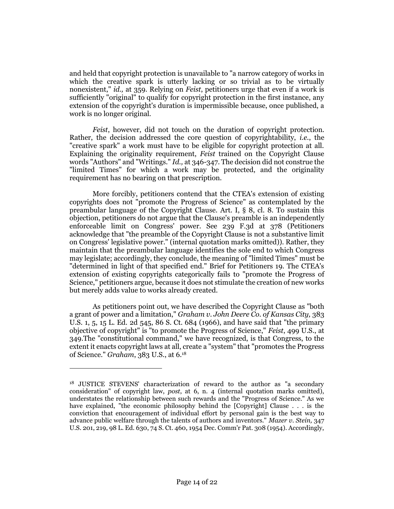and held that copyright protection is unavailable to "a narrow category of works in which the creative spark is utterly lacking or so trivial as to be virtually nonexistent," *id.,* at 359. Relying on *Feist*, petitioners urge that even if a work is sufficiently "original" to qualify for copyright protection in the first instance, any extension of the copyright's duration is impermissible because, once published, a work is no longer original.

*Feist*, however, did not touch on the duration of copyright protection. Rather, the decision addressed the core question of copyrightability, *i.e.*, the "creative spark" a work must have to be eligible for copyright protection at all. Explaining the originality requirement, *Feist* trained on the Copyright Clause words "Authors" and "Writings." *Id.,* at 346-347. The decision did not construe the "limited Times" for which a work may be protected, and the originality requirement has no bearing on that prescription.

More forcibly, petitioners contend that the CTEA's extension of existing copyrights does not "promote the Progress of Science" as contemplated by the preambular language of the Copyright Clause. Art. I, § 8, cl. 8. To sustain this objection, petitioners do not argue that the Clause's preamble is an independently enforceable limit on Congress' power. See 239 F.3d at 378 (Petitioners acknowledge that "the preamble of the Copyright Clause is not a substantive limit on Congress' legislative power." (internal quotation marks omitted)). Rather, they maintain that the preambular language identifies the sole end to which Congress may legislate; accordingly, they conclude, the meaning of "limited Times" must be "determined in light of that specified end." Brief for Petitioners 19. The CTEA's extension of existing copyrights categorically fails to "promote the Progress of Science," petitioners argue, because it does not stimulate the creation of new works but merely adds value to works already created.

As petitioners point out, we have described the Copyright Clause as "both a grant of power and a limitation," *Graham v. John Deere Co. of Kansas City,* 383 U.S. 1, 5, 15 L. Ed. 2d 545, 86 S. Ct. 684 (1966), and have said that "the primary objective of copyright" is "to promote the Progress of Science," *Feist*, 499 U.S., at 349.The "constitutional command," we have recognized, is that Congress, to the extent it enacts copyright laws at all, create a "system" that "promotes the Progress of Science." *Graham*, 383 U.S., at 6.<sup>18</sup>

<sup>18</sup> JUSTICE STEVENS' characterization of reward to the author as "a secondary consideration" of copyright law, *post*, at 6, n. 4 (internal quotation marks omitted), understates the relationship between such rewards and the "Progress of Science." As we have explained, "the economic philosophy behind the [Copyright] Clause . . . is the conviction that encouragement of individual effort by personal gain is the best way to advance public welfare through the talents of authors and inventors." *Mazer v. Stein,* 347 U.S. 201, 219, 98 L. Ed. 630, 74 S. Ct. 460, 1954 Dec. Comm'r Pat. 308 (1954). Accordingly,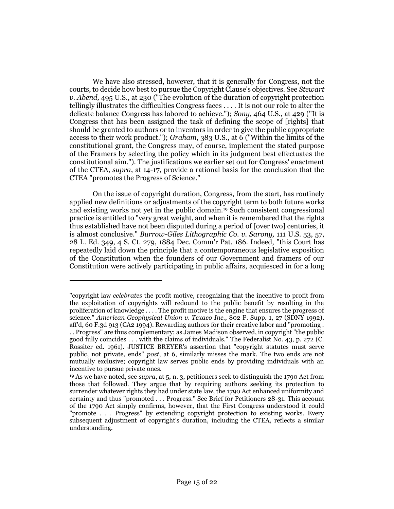We have also stressed, however, that it is generally for Congress, not the courts, to decide how best to pursue the Copyright Clause's objectives. See *Stewart v. Abend,* 495 U.S., at 230 ("The evolution of the duration of copyright protection tellingly illustrates the difficulties Congress faces . . . . It is not our role to alter the delicate balance Congress has labored to achieve."); *Sony*, 464 U.S., at 429 ("It is Congress that has been assigned the task of defining the scope of [rights] that should be granted to authors or to inventors in order to give the public appropriate access to their work product."); *Graham*, 383 U.S., at 6 ("Within the limits of the constitutional grant, the Congress may, of course, implement the stated purpose of the Framers by selecting the policy which in its judgment best effectuates the constitutional aim."). The justifications we earlier set out for Congress' enactment of the CTEA, *supra*, at 14-17, provide a rational basis for the conclusion that the CTEA "promotes the Progress of Science."

On the issue of copyright duration, Congress, from the start, has routinely applied new definitions or adjustments of the copyright term to both future works and existing works not yet in the public domain.<sup>19</sup> Such consistent congressional practice is entitled to "very great weight, and when it is remembered that the rights thus established have not been disputed during a period of [over two] centuries, it is almost conclusive." *Burrow-Giles Lithographic Co. v. Sarony,* 111 U.S. 53, 57, 28 L. Ed. 349, 4 S. Ct. 279, 1884 Dec. Comm'r Pat. 186. Indeed, "this Court has repeatedly laid down the principle that a contemporaneous legislative exposition of the Constitution when the founders of our Government and framers of our Constitution were actively participating in public affairs, acquiesced in for a long

l

<sup>&</sup>quot;copyright law *celebrates* the profit motive, recognizing that the incentive to profit from the exploitation of copyrights will redound to the public benefit by resulting in the proliferation of knowledge . . . . The profit motive is the engine that ensures the progress of science." *American Geophysical Union v. Texaco Inc.*, 802 F. Supp. 1, 27 (SDNY 1992), aff'd, 60 F.3d 913 (CA2 1994). Rewarding authors for their creative labor and "promoting . . . Progress" are thus complementary; as James Madison observed, in copyright "the public good fully coincides . . . with the claims of individuals." The Federalist No. 43, p. 272 (C. Rossiter ed. 1961). JUSTICE BREYER's assertion that "copyright statutes must serve public, not private, ends" *post*, at 6, similarly misses the mark. The two ends are not mutually exclusive; copyright law serves public ends by providing individuals with an incentive to pursue private ones.

<sup>19</sup> As we have noted, see *supra*, at 5, n. 3, petitioners seek to distinguish the 1790 Act from those that followed. They argue that by requiring authors seeking its protection to surrender whatever rights they had under state law, the 1790 Act enhanced uniformity and certainty and thus "promoted . . . Progress." See Brief for Petitioners 28-31. This account of the 1790 Act simply confirms, however, that the First Congress understood it could "promote . . . Progress" by extending copyright protection to existing works. Every subsequent adjustment of copyright's duration, including the CTEA, reflects a similar understanding.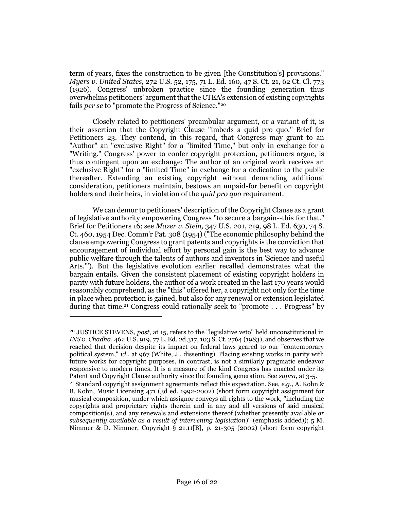term of years, fixes the construction to be given [the Constitution's] provisions." *Myers v. United States,* 272 U.S. 52, 175, 71 L. Ed. 160, 47 S. Ct. 21, 62 Ct. Cl. 773 (1926). Congress' unbroken practice since the founding generation thus overwhelms petitioners' argument that the CTEA's extension of existing copyrights fails *per se* to "promote the Progress of Science."<sup>20</sup>

Closely related to petitioners' preambular argument, or a variant of it, is their assertion that the Copyright Clause "imbeds a quid pro quo." Brief for Petitioners 23. They contend, in this regard, that Congress may grant to an "Author" an "exclusive Right" for a "limited Time," but only in exchange for a "Writing." Congress' power to confer copyright protection, petitioners argue, is thus contingent upon an exchange: The author of an original work receives an "exclusive Right" for a "limited Time" in exchange for a dedication to the public thereafter. Extending an existing copyright without demanding additional consideration, petitioners maintain, bestows an unpaid-for benefit on copyright holders and their heirs, in violation of the *quid pro quo* requirement.

We can demur to petitioners' description of the Copyright Clause as a grant of legislative authority empowering Congress "to secure a bargain--this for that." Brief for Petitioners 16; see *Mazer v. Stein,* 347 U.S. 201, 219, 98 L. Ed. 630, 74 S. Ct. 460, 1954 Dec. Comm'r Pat. 308 (1954) ("The economic philosophy behind the clause empowering Congress to grant patents and copyrights is the conviction that encouragement of individual effort by personal gain is the best way to advance public welfare through the talents of authors and inventors in 'Science and useful Arts.'"). But the legislative evolution earlier recalled demonstrates what the bargain entails. Given the consistent placement of existing copyright holders in parity with future holders, the author of a work created in the last 170 years would reasonably comprehend, as the "this" offered her, a copyright not only for the time in place when protection is gained, but also for any renewal or extension legislated during that time.<sup>21</sup> Congress could rationally seek to "promote  $\dots$  Progress" by

<sup>20</sup> JUSTICE STEVENS, *post*, at 15, refers to the "legislative veto" held unconstitutional in *INS v. Chadha,* 462 U.S. 919, 77 L. Ed. 2d 317, 103 S. Ct. 2764 (1983), and observes that we reached that decision despite its impact on federal laws geared to our "contemporary political system," *id.*, at 967 (White, J., dissenting). Placing existing works in parity with future works for copyright purposes, in contrast, is not a similarly pragmatic endeavor responsive to modern times. It is a measure of the kind Congress has enacted under its Patent and Copyright Clause authority since the founding generation. See *supra*, at 3-5.

<sup>21</sup> Standard copyright assignment agreements reflect this expectation. See, *e.g.*, A. Kohn & B. Kohn, Music Licensing 471 (3d ed. 1992-2002) (short form copyright assignment for musical composition, under which assignor conveys all rights to the work, "including the copyrights and proprietary rights therein and in any and all versions of said musical composition(s), and any renewals and extensions thereof (whether presently available *or subsequently available as a result of intervening legislation*)" (emphasis added)); 5 M. Nimmer & D. Nimmer, Copyright  $\S$  21.11[B], p. 21-305 (2002) (short form copyright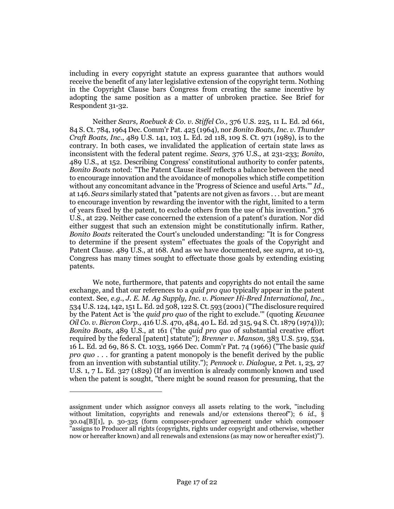including in every copyright statute an express guarantee that authors would receive the benefit of any later legislative extension of the copyright term. Nothing in the Copyright Clause bars Congress from creating the same incentive by adopting the same position as a matter of unbroken practice. See Brief for Respondent 31-32.

Neither *Sears, Roebuck & Co. v. Stiffel Co.,* 376 U.S. 225, 11 L. Ed. 2d 661, 84 S. Ct. 784, 1964 Dec. Comm'r Pat. 425 (1964), nor *Bonito Boats, Inc. v. Thunder Craft Boats, Inc.,* 489 U.S. 141, 103 L. Ed. 2d 118, 109 S. Ct. 971 (1989), is to the contrary. In both cases, we invalidated the application of certain state laws as inconsistent with the federal patent regime. *Sears*, 376 U.S., at 231-233; *Bonito*, 489 U.S., at 152. Describing Congress' constitutional authority to confer patents, *Bonito Boats* noted: "The Patent Clause itself reflects a balance between the need to encourage innovation and the avoidance of monopolies which stifle competition without any concomitant advance in the 'Progress of Science and useful Arts.'" *Id.,* at 146. *Sears* similarly stated that "patents are not given as favors . . . but are meant to encourage invention by rewarding the inventor with the right, limited to a term of years fixed by the patent, to exclude others from the use of his invention." 376 U.S., at 229. Neither case concerned the extension of a patent's duration. Nor did either suggest that such an extension might be constitutionally infirm. Rather, *Bonito Boats* reiterated the Court's unclouded understanding: "It is for Congress to determine if the present system" effectuates the goals of the Copyright and Patent Clause. 489 U.S., at 168. And as we have documented, see *supra*, at 10-13, Congress has many times sought to effectuate those goals by extending existing patents.

We note, furthermore, that patents and copyrights do not entail the same exchange, and that our references to a *quid pro quo* typically appear in the patent context. See, *e.g.*, *J. E. M. Ag Supply, Inc. v. Pioneer Hi-Bred International, Inc.,* 534 U.S. 124, 142, 151 L. Ed. 2d 508, 122 S. Ct. 593 (2001) ("The disclosure required by the Patent Act is 'the *quid pro quo* of the right to exclude.'" (quoting *Kewanee Oil Co. v. Bicron Corp.,* 416 U.S. 470, 484, 40 L. Ed. 2d 315, 94 S. Ct. 1879 (1974))); *Bonito Boats*, 489 U.S., at 161 ("the *quid pro quo* of substantial creative effort required by the federal [patent] statute"); *Brenner v. Manson,* 383 U.S. 519, 534, 16 L. Ed. 2d 69, 86 S. Ct. 1033, 1966 Dec. Comm'r Pat. 74 (1966) ("The basic *quid pro quo* . . . for granting a patent monopoly is the benefit derived by the public from an invention with substantial utility."); *Pennock v. Dialogue,* 2 Pet. 1, 23, 27 U.S. 1, 7 L. Ed. 327 (1829) (If an invention is already commonly known and used when the patent is sought, "there might be sound reason for presuming, that the

assignment under which assignor conveys all assets relating to the work, "including without limitation, copyrights and renewals and/or extensions thereof"); 6 *id.,* § 30.04[B][1], p. 30-325 (form composer-producer agreement under which composer "assigns to Producer all rights (copyrights, rights under copyright and otherwise, whether now or hereafter known) and all renewals and extensions (as may now or hereafter exist)").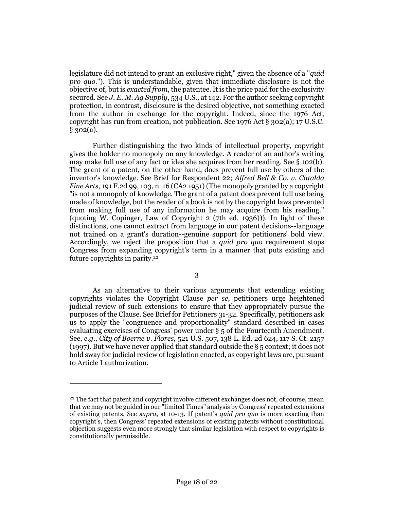legislature did not intend to grant an exclusive right," given the absence of a "*quid pro quo*."). This is understandable, given that immediate disclosure is not the objective of, but is *exacted from*, the patentee. It is the price paid for the exclusivity secured. See *J. E. M. Ag Supply*, 534 U.S., at 142. For the author seeking copyright protection, in contrast, disclosure is the desired objective, not something exacted from the author in exchange for the copyright. Indeed, since the 1976 Act, copyright has run from creation, not publication. See 1976 Act § 302(a); 17 U.S.C.  $§ 302(a).$ 

Further distinguishing the two kinds of intellectual property, copyright gives the holder no monopoly on any knowledge. A reader of an author's writing may make full use of any fact or idea she acquires from her reading. See § 102(b). The grant of a patent, on the other hand, does prevent full use by others of the inventor's knowledge. See Brief for Respondent 22; *Alfred Bell & Co. v. Catalda Fine Arts*, 191 F.2d 99, 103, n. 16 (CA2 1951) (The monopoly granted by a copyright "is not a monopoly of knowledge. The grant of a patent does prevent full use being made of knowledge, but the reader of a book is not by the copyright laws prevented from making full use of any information he may acquire from his reading." (quoting W. Copinger, Law of Copyright 2 (7th ed. 1936))). In light of these distinctions, one cannot extract from language in our patent decisions--language not trained on a grant's duration--genuine support for petitioners' bold view. Accordingly, we reject the proposition that a *quid pro quo* requirement stops Congress from expanding copyright's term in a manner that puts existing and future copyrights in parity.<sup>22</sup>

3

As an alternative to their various arguments that extending existing copyrights violates the Copyright Clause *per se*, petitioners urge heightened judicial review of such extensions to ensure that they appropriately pursue the purposes of the Clause. See Brief for Petitioners 31-32. Specifically, petitioners ask us to apply the "congruence and proportionality" standard described in cases evaluating exercises of Congress' power under § 5 of the Fourteenth Amendment. See, *e.g.*, *City of Boerne v. Flores,* 521 U.S. 507, 138 L. Ed. 2d 624, 117 S. Ct. 2157 (1997). But we have never applied that standard outside the § 5 context; it does not hold sway for judicial review of legislation enacted, as copyright laws are, pursuant to Article I authorization.

<sup>&</sup>lt;sup>22</sup> The fact that patent and copyright involve different exchanges does not, of course, mean that we may not be guided in our "limited Times" analysis by Congress' repeated extensions of existing patents. See *supra*, at 10-13. If patent's *quid pro quo* is more exacting than copyright's, then Congress' repeated extensions of existing patents without constitutional objection suggests even more strongly that similar legislation with respect to copyrights is constitutionally permissible.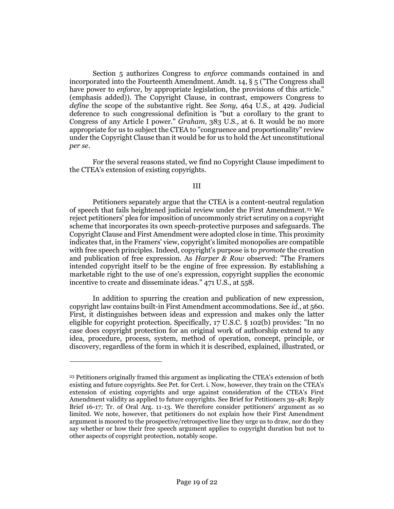Section 5 authorizes Congress to *enforce* commands contained in and incorporated into the Fourteenth Amendment. Amdt. 14, § 5 ("The Congress shall have power to *enforce*, by appropriate legislation, the provisions of this article." (emphasis added)). The Copyright Clause, in contrast, empowers Congress to *define* the scope of the substantive right. See *Sony,* 464 U.S., at 429. Judicial deference to such congressional definition is "but a corollary to the grant to Congress of any Article I power." *Graham*, 383 U.S., at 6. It would be no more appropriate for us to subject the CTEA to "congruence and proportionality" review under the Copyright Clause than it would be for us to hold the Act unconstitutional *per se*.

For the several reasons stated, we find no Copyright Clause impediment to the CTEA's extension of existing copyrights.

#### III

Petitioners separately argue that the CTEA is a content-neutral regulation of speech that fails heightened judicial review under the First Amendment.<sup>23</sup> We reject petitioners' plea for imposition of uncommonly strict scrutiny on a copyright scheme that incorporates its own speech-protective purposes and safeguards. The Copyright Clause and First Amendment were adopted close in time. This proximity indicates that, in the Framers' view, copyright's limited monopolies are compatible with free speech principles. Indeed, copyright's purpose is to *promote* the creation and publication of free expression. As *Harper & Row* observed: "The Framers intended copyright itself to be the engine of free expression. By establishing a marketable right to the use of one's expression, copyright supplies the economic incentive to create and disseminate ideas." 471 U.S., at 558.

In addition to spurring the creation and publication of new expression, copyright law contains built-in First Amendment accommodations. See *id.*, at 560. First, it distinguishes between ideas and expression and makes only the latter eligible for copyright protection. Specifically, 17 U.S.C. § 102(b) provides: "In no case does copyright protection for an original work of authorship extend to any idea, procedure, process, system, method of operation, concept, principle, or discovery, regardless of the form in which it is described, explained, illustrated, or

<sup>23</sup> Petitioners originally framed this argument as implicating the CTEA's extension of both existing and future copyrights. See Pet. for Cert. i. Now, however, they train on the CTEA's extension of existing copyrights and urge against consideration of the CTEA's First Amendment validity as applied to future copyrights. See Brief for Petitioners 39-48; Reply Brief 16-17; Tr. of Oral Arg. 11-13. We therefore consider petitioners' argument as so limited. We note, however, that petitioners do not explain how their First Amendment argument is moored to the prospective/retrospective line they urge us to draw, nor do they say whether or how their free speech argument applies to copyright duration but not to other aspects of copyright protection, notably scope.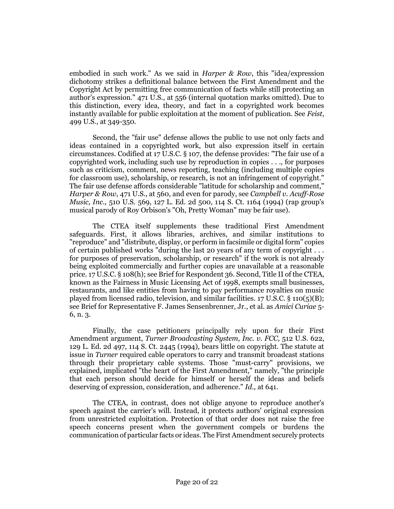embodied in such work." As we said in *Harper & Row*, this "idea/expression dichotomy strikes a definitional balance between the First Amendment and the Copyright Act by permitting free communication of facts while still protecting an author's expression." 471 U.S., at 556 (internal quotation marks omitted). Due to this distinction, every idea, theory, and fact in a copyrighted work becomes instantly available for public exploitation at the moment of publication. See *Feist*, 499 U.S., at 349-350.

Second, the "fair use" defense allows the public to use not only facts and ideas contained in a copyrighted work, but also expression itself in certain circumstances. Codified at 17 U.S.C. § 107, the defense provides: "The fair use of a copyrighted work, including such use by reproduction in copies . . ., for purposes such as criticism, comment, news reporting, teaching (including multiple copies for classroom use), scholarship, or research, is not an infringement of copyright." The fair use defense affords considerable "latitude for scholarship and comment," *Harper & Row*, 471 U.S., at 560, and even for parody, see *Campbell v. Acuff-Rose Music, Inc.,* 510 U.S. 569, 127 L. Ed. 2d 500, 114 S. Ct. 1164 (1994) (rap group's musical parody of Roy Orbison's "Oh, Pretty Woman" may be fair use).

The CTEA itself supplements these traditional First Amendment safeguards. First, it allows libraries, archives, and similar institutions to "reproduce" and "distribute, display, or perform in facsimile or digital form" copies of certain published works "during the last 20 years of any term of copyright . . . for purposes of preservation, scholarship, or research" if the work is not already being exploited commercially and further copies are unavailable at a reasonable price. 17 U.S.C. § 108(h); see Brief for Respondent 36. Second, Title II of the CTEA, known as the Fairness in Music Licensing Act of 1998, exempts small businesses, restaurants, and like entities from having to pay performance royalties on music played from licensed radio, television, and similar facilities. 17 U.S.C. § 110(5)(B); see Brief for Representative F. James Sensenbrenner, Jr., et al. as *Amici Curiae* 5- 6, n. 3.

Finally, the case petitioners principally rely upon for their First Amendment argument, *Turner Broadcasting System, Inc. v. FCC,* 512 U.S. 622, 129 L. Ed. 2d 497, 114 S. Ct. 2445 (1994), bears little on copyright. The statute at issue in *Turner* required cable operators to carry and transmit broadcast stations through their proprietary cable systems. Those "must-carry" provisions, we explained, implicated "the heart of the First Amendment," namely, "the principle that each person should decide for himself or herself the ideas and beliefs deserving of expression, consideration, and adherence." *Id.,* at 641.

The CTEA, in contrast, does not oblige anyone to reproduce another's speech against the carrier's will. Instead, it protects authors' original expression from unrestricted exploitation. Protection of that order does not raise the free speech concerns present when the government compels or burdens the communication of particular facts or ideas. The First Amendment securely protects